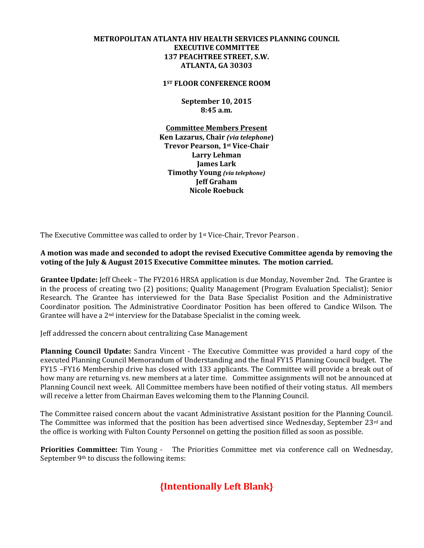## **METROPOLITAN ATLANTA HIV HEALTH SERVICES PLANNING COUNCIL EXECUTIVE COMMITTEE 137 PEACHTREE STREET, S.W. ATLANTA, GA 30303**

**1ST FLOOR CONFERENCE ROOM** 

**September 10, 2015 8:45 a.m.** 

**Committee Members Present Ken Lazarus, Chair** *(via telephone***) Trevor Pearson, 1st Vice-Chair Larry Lehman James Lark Timothy Young** *(via telephone)*  **Jeff Graham Nicole Roebuck**

The Executive Committee was called to order by 1st Vice-Chair, Trevor Pearson .

**A motion was made and seconded to adopt the revised Executive Committee agenda by removing the voting of the July & August 2015 Executive Committee minutes. The motion carried.** 

**Grantee Update:** Jeff Cheek – The FY2016 HRSA application is due Monday, November 2nd. The Grantee is in the process of creating two (2) positions; Quality Management (Program Evaluation Specialist); Senior Research. The Grantee has interviewed for the Data Base Specialist Position and the Administrative Coordinator position. The Administrative Coordinator Position has been offered to Candice Wilson. The Grantee will have a  $2<sup>nd</sup>$  interview for the Database Specialist in the coming week.

Jeff addressed the concern about centralizing Case Management

**Planning Council Update:** Sandra Vincent - The Executive Committee was provided a hard copy of the executed Planning Council Memorandum of Understanding and the final FY15 Planning Council budget. The FY15 –FY16 Membership drive has closed with 133 applicants. The Committee will provide a break out of how many are returning vs. new members at a later time. Committee assignments will not be announced at Planning Council next week. All Committee members have been notified of their voting status. All members will receive a letter from Chairman Eaves welcoming them to the Planning Council.

The Committee raised concern about the vacant Administrative Assistant position for the Planning Council. The Committee was informed that the position has been advertised since Wednesday, September 23rd and the office is working with Fulton County Personnel on getting the position filled as soon as possible.

**Priorities Committee:** Tim Young - The Priorities Committee met via conference call on Wednesday, September 9th to discuss the following items:

## **{Intentionally Left Blank}**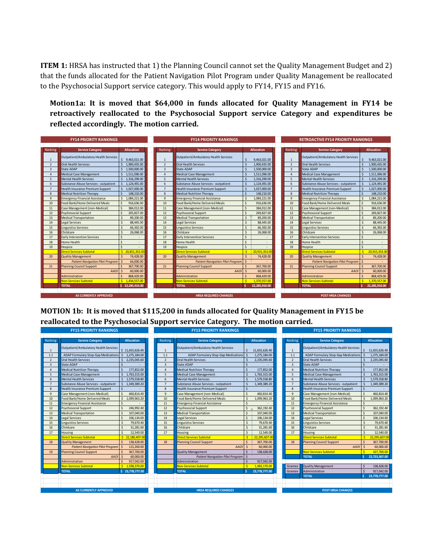**ITEM 1:** HRSA has instructed that 1) the Planning Council cannot set the Quality Management Budget and 2) that the funds allocated for the Patient Navigation Pilot Program under Quality Management be reallocated to the Psychosocial Support service category. This would apply to FY14, FY15 and FY16.

**Motion1a: It is moved that \$64,000 in funds allocated for Quality Management in FY14 be retroactively reallocated to the Psychosocial Support service Category and expenditures be reflected accordingly. The motion carried.** 

|                 | <b>FY14 PRIORITY RANKINGS</b>           |                                 |                         | <b>FY14 PRIORITY RANKINGS</b>           |                                 |                 | <b>RETROACTIVE FY14 PRIORITY RANKINGS</b> |                   |  |  |  |
|-----------------|-----------------------------------------|---------------------------------|-------------------------|-----------------------------------------|---------------------------------|-----------------|-------------------------------------------|-------------------|--|--|--|
|                 |                                         |                                 |                         |                                         |                                 |                 |                                           |                   |  |  |  |
| Ranking         | <b>Service Category</b>                 | <b>Allocation</b>               | Ranking                 | <b>Service Category</b>                 | <b>Allocation</b>               | Ranking         | <b>Service Category</b>                   | <b>Allocation</b> |  |  |  |
| $\mathbf{1}$    | Outpatient/Ambulatory Health Services   | 9,463,021.00                    | $\mathbf{1}$            | Outpatient/Ambulatory Health Services   | 9,463,021.00                    | $\mathbf{1}$    | Outpatient/Ambulatory Health Services     | 9,463,021.00      |  |  |  |
| $\overline{2}$  | Oral Health Services                    | 1,900,435.00                    | $\overline{\mathbf{c}}$ | <b>Oral Health Services</b>             | 1.900.435.00                    | $\overline{2}$  | Oral Health Services                      | 1,900,435.00      |  |  |  |
| $\overline{3}$  | State ADAP                              | 1.500.000.00                    | $\overline{3}$          | <b>State ADAP</b>                       | 1.500.000.00                    | $\overline{3}$  | State ADAP                                | 1.500.000.00      |  |  |  |
| $\overline{4}$  | <b>Medical Case Management</b>          | 1.511.096.00<br>Ś.              | $\Delta$                | <b>Medical Case Management</b>          | 1.511.096.00                    | $\Delta$        | <b>Medical Case Management</b>            | 1.511.096.00      |  |  |  |
| 5               | <b>Mental Health Services</b>           | $\mathsf{S}$<br>1.316.299.00    | 5                       | <b>Mental Health Services</b>           | 1.316.299.00                    | 5               | <b>Mental Health Services</b>             | 1.316.299.00      |  |  |  |
| 6               | Substance Abuse Services - outpatient   | $5$ 1.124.491.00                | 6                       | Substance Abuse Services - outpatient   | 1,124,491.00                    | $6\overline{6}$ | Substance Abuse Services - outpatient     | 1.124.491.00      |  |  |  |
| $7\overline{ }$ | Health Insurance Premium Support        | 1,027,000.00                    | $\overline{7}$          | <b>Health Insurance Premium Support</b> | 1,027,000.00                    | $\overline{7}$  | Health Insurance Premium Support          | 1,027,000.00      |  |  |  |
| 8               | <b>Medical Nutrition Therapy</b>        | 148,210.00                      | 8                       | <b>Medical Nutrition Therapy</b>        | 148,210.00                      | $\overline{8}$  | <b>Medical Nutrition Therapy</b>          | 148,210.00        |  |  |  |
| $\overline{9}$  | <b>Emergency Financial Assistance</b>   | \$1,084,221.00                  | $\overline{9}$          | <b>Emergency Financial Assistance</b>   | 1,084,221.00                    | $\mathbf{q}$    | <b>Emergency Financial Assistance</b>     | 1.084.221.00      |  |  |  |
| 10              | Food Bank/Home Delivered Meals          | $\zeta$<br>916,636.00           | 10                      | Food Bank/Home Delivered Meals          | 916.636.00                      | 10              | Food Bank/Home Delivered Meals            | 916.636.00        |  |  |  |
| 11              | Case Management (non-Medical)           | 384.012.00<br>$\mathsf{S}$      | 11                      | Case Management (non-Medical)           | 384,012.00                      | 11              | Case Management (non-Medical)             | 384,012.00        |  |  |  |
| 12              | <b>Psychosocial Support</b>             | 205.827.00                      | 12                      | <b>Psychosocial Support</b>             | 269.827.00                      | 12              | Psychosocial Support                      | 269.827.00        |  |  |  |
| 13              | <b>Medical Transportation</b>           | 89,200.00<br>Ś                  | 13                      | <b>Medical Transportation</b>           | 89,200.00                       | 13              | <b>Medical Transportation</b>             | 89,200.00         |  |  |  |
| 14              | Legal Services                          | 88,445.00<br>Ś                  | 14                      | <b>Legal Services</b>                   | $\mathsf{S}$<br>88,445.00       | 14              | <b>Legal Services</b>                     | 88,445.00         |  |  |  |
| 15              | <b>Linguistics Services</b>             | 66,392.00                       | 15                      | <b>Linguistics Services</b>             | $\zeta$<br>66,392.00            | 15              | <b>Linguistics Services</b>               | 66,392.00         |  |  |  |
| 16              | Childcare                               | Ś<br>26,068.00                  | 16                      | Childcare                               | $\mathsf{\hat{S}}$<br>26,068.00 | 16              | Childcare                                 | 26,068.00         |  |  |  |
| 17              | <b>Early Intervention Services</b>      |                                 | 17                      | <b>Early Intervention Services</b>      | $\sf S$                         | 17              | <b>Early Intervention Services</b>        |                   |  |  |  |
| 18              | Home Health                             |                                 | 18                      | <b>Home Health</b>                      | $\mathsf{\hat{S}}$<br>٠         | 18              | Home Health                               |                   |  |  |  |
| 19              | Hospice                                 |                                 | 19                      | Hospice                                 | $\mathsf{S}$                    | 19              | Hospice                                   |                   |  |  |  |
|                 | <b>Direct Services Subtotal</b>         | \$20,851,353,00                 |                         | <b>Direct Services Subtotal</b>         | 20,915,353.00                   |                 | <b>Direct Services Subtotal</b>           | 20.915.353.00     |  |  |  |
| 20              | <b>Quality Management</b>               | $\mathsf{\hat{S}}$<br>74,428.00 | 20                      | <b>Quality Management</b>               | $\mathsf{\hat{S}}$<br>74,428.00 | 20              | <b>Quality Management</b>                 | 74.428.00         |  |  |  |
|                 | <b>Patient Navigation Pilot Program</b> | Ŝ.<br>64.000.00                 |                         | <b>Patient Navigation Pilot Program</b> | $\mathsf{S}$                    |                 | <b>Patient Navigation Pilot Program</b>   | $\mathsf{S}$      |  |  |  |
| 21              | <b>Planning Council Support</b>         | 367,700.00<br>¢                 | 21                      | <b>Planning Council Support</b>         | 367,700.00                      | 21              | <b>Planning Council Support</b>           | 367,700.00        |  |  |  |
|                 | <b>AAOI</b>                             | 60,000,00                       |                         | <b>AAOI</b>                             | 60,000,00                       |                 | <b>AAOI</b>                               | 60,000,00         |  |  |  |
|                 | Administration                          | 868,429.00                      |                         | Administration                          | 868,429.00                      |                 | Administration                            | 868,429.00        |  |  |  |
|                 | <b>Non-Services Subtotal</b>            | \$1.434.557.00                  |                         | <b>Non-Services Subtotal</b>            | 1.370.557.00                    |                 | <b>Non-Services Subtotal</b>              | 1,370,557.00      |  |  |  |
|                 | <b>TOTAL</b>                            | \$22,285,910.00                 |                         | <b>TOTAL</b>                            | 22,285,910.00                   |                 | <b>TOTAL</b>                              | 22,285,910.00     |  |  |  |
|                 |                                         |                                 |                         |                                         |                                 |                 |                                           |                   |  |  |  |
|                 | <b>AS CURRENTLY APPROVED</b>            |                                 |                         | <b>HRSA REQUIRED CHANGES</b>            |                                 |                 | <b>POST HRSA CHANGES</b>                  |                   |  |  |  |

**MOTION 1b: It is moved that \$115,200 in funds allocated for Quality Management in FY15 be reallocated to the Psychosocial Support service Category. The motion carried.**

|                | <b>FY15 PRIORITY RANKINGS</b>           |                              |                | <b>FY15 PRIORITY RANKINGS</b> |                                            |                    |                   | <b>FY15 PRIORITY RANKINGS</b> |                                            |               |                   |  |  |
|----------------|-----------------------------------------|------------------------------|----------------|-------------------------------|--------------------------------------------|--------------------|-------------------|-------------------------------|--------------------------------------------|---------------|-------------------|--|--|
|                |                                         |                              |                |                               |                                            |                    |                   |                               |                                            |               |                   |  |  |
| Ranking        | <b>Service Category</b>                 | Allocation                   | Ranking        |                               | <b>Service Category</b>                    |                    | <b>Allocation</b> | Ranking                       | <b>Service Category</b>                    |               | <b>Allocation</b> |  |  |
|                | Outpatient/Ambulatory Health Services   | \$11,655,626.40              |                |                               | Outpatient/Ambulatory Health Services      |                    | 11,655,626.40     |                               | Outpatient/Ambulatory Health Services      |               | 11,655,626.40     |  |  |
| 1.1            | ADAP Formulary Stop-Gap Medications     | 1,275,184.00<br>Ŝ.           | 1.1            |                               | <b>ADAP Formulary Stop-Gap Medications</b> |                    | 1,275,184.00      | 1.1                           | <b>ADAP Formulary Stop-Gap Medications</b> |               | 1,275,184.00      |  |  |
| $\overline{2}$ | <b>Oral Health Services</b>             | 2,235,045.60<br>$\mathsf{S}$ | $\overline{2}$ |                               | <b>Oral Health Services</b>                |                    | 2,235,045.60      | $\overline{2}$                | Oral Health Services                       |               | 2,235,045.60      |  |  |
| 3              | <b>State ADAP</b>                       |                              | 3              |                               | <b>State ADAP</b>                          |                    |                   | $\overline{3}$                | State ADAP                                 |               |                   |  |  |
| $\overline{4}$ | <b>Medical Nutrition Therapy</b>        | 177,852.00                   | $\Delta$       |                               | <b>Medical Nutrition Therapy</b>           |                    | 177,852.00        | $\Delta$                      | <b>Medical Nutrition Therapy</b>           |               | 177,852.00        |  |  |
| 5              | <b>Medical Case Management</b>          | 1,763,315.00                 | 5              |                               | Medical Case Management                    |                    | 1,763,315.00      | $\overline{\phantom{a}}$      | <b>Medical Case Management</b>             |               | 1,763,315.00      |  |  |
| 6              | <b>Mental Health Services</b>           | 1,579,558.80                 | 6              |                               | <b>Mental Health Services</b>              |                    | 1,579,558.80      | 6                             | <b>Mental Health Services</b>              |               | 1,579,558.80      |  |  |
| $\overline{7}$ | Substance Abuse Services - outpatient   | $\mathsf{S}$<br>1,349,389.20 | $\overline{7}$ |                               | Substance Abuse Services - outpatient      |                    | 1,349,389.20      | $\overline{7}$                | Substance Abuse Services - outpatient      |               | 1,349,389.20      |  |  |
| 8              | <b>Health Insurance Premium Support</b> |                              | $\overline{8}$ |                               | Health Insurance Premium Support           |                    |                   | $\mathbf{8}$                  | <b>Health Insurance Premium Support</b>    |               |                   |  |  |
| $\overline{9}$ | Case Management (non-Medical)           | 460.814.40                   | 9              |                               | Case Management (non-Medical)              |                    | 460.814.40        | $\mathbf{Q}$                  | Case Management (non-Medical)              |               | 460.814.40        |  |  |
| 10             | Food Bank/Home Delivered Meals          | 1,099,963.20                 | 10             |                               | Food Bank/Home Delivered Meals             |                    | 1,099,963.20      | 10                            | Food Bank/Home Delivered Meals             |               | 1,099,963.20      |  |  |
| 11             | <b>Emergency Financial Assistance</b>   | $\mathsf{S}$                 | 11             |                               | <b>Emergency Financial Assistance</b>      |                    |                   | 11                            | <b>Emergency Financial Assistance</b>      |               |                   |  |  |
| $12$           | <b>Psychosocial Support</b>             | 246,992.40                   | 12             |                               | <b>Psychosocial Support</b>                |                    | 362,192.40        | 12                            | Psychosocial Support                       |               | 362,192.40        |  |  |
| 13             | <b>Medical Transportation</b>           | 107,040.00                   | 13             |                               | <b>Medical Transportation</b>              |                    | 107.040.00        | 13                            | <b>Medical Transportation</b>              |               | 107,040.00        |  |  |
| 14             | Legal Services                          | 106.134.00<br>$\mathsf{S}$   | 14             |                               | Legal Services                             | $\mathsf{S}$       | 106.134.00        | 14                            | Legal Services                             |               | 106.134.00        |  |  |
| 15             | <b>Linguistics Services</b>             | 79,670.40<br>$\mathsf{S}$    | 15             |                               | <b>Linguistics Services</b>                | $\mathsf{\hat{S}}$ | 79.670.40         | 15                            | <b>Linguistics Services</b>                |               | 79,670.40         |  |  |
| 16             | Childcare                               | $\mathsf{S}$<br>31.281.60    | 16             |                               | Childcare                                  | $\mathsf{S}$       | 31.281.60         | 16                            | Childcare                                  |               | 31,281.60         |  |  |
| 17             | Housing                                 | 12.540.00<br>$\mathsf{S}$    | 17             |                               | Housing                                    | $\mathsf{S}$       | 12.540.00         | 17                            | Housing                                    | $\hat{\zeta}$ | 12,540.00         |  |  |
|                | Direct Services Subtotal                | \$22,180,407.00              |                |                               | <b>Direct Services Subtotal</b>            | Ś.                 | 22,295,607.00     |                               | <b>Direct Services Subtotal</b>            |               | 22,295,607.00     |  |  |
| 18             | <b>Quality Management</b>               | $\mathsf{S}$<br>138,428.00   | 18             |                               | <b>Planning Council Support</b>            |                    | 367,700.00        | 18                            | <b>Planning Council Support</b>            |               | 367,700.00        |  |  |
|                | <b>Patient Navigation Pilot Program</b> | 115,200.00                   |                |                               | <b>AAOI</b>                                | $\mathsf{\hat{S}}$ | 60,000.00         |                               | <b>AAOI</b>                                | $\zeta$       | 60,000.00         |  |  |
| 19             | <b>Planning Council Support</b>         | 367,700.00                   |                |                               | <b>Quality Management</b>                  |                    | 138,428.00        |                               | <b>Non-Services Subtotal</b>               |               | 427,700.00        |  |  |
|                | <b>AAOI</b>                             | 60,000.00                    |                |                               | <b>Patient Navigation Pilot Program</b>    |                    |                   |                               | <b>TOTAL</b>                               | -c            | 22,723,307.00     |  |  |
|                | Administration                          | 917,042.00                   |                |                               | Administration                             |                    | 917,042.00        |                               |                                            |               |                   |  |  |
|                | <b>Non-Services Subtotal</b>            | Ŝ.<br>1,598,370.00           |                |                               | <b>Non-Services Subtotal</b>               |                    | 1,483,170.00      | Grantee                       | Quality Management                         |               | 138,428.00        |  |  |
|                | <b>TOTAL</b>                            | \$23,778,777.00              |                |                               | <b>TOTAL</b>                               |                    | 23,778,777.00     | Grantee                       | Administration                             |               | 917,042.00        |  |  |
|                |                                         |                              |                |                               |                                            |                    |                   |                               | <b>TOTAL</b>                               |               | 23,778,777.00     |  |  |
|                |                                         |                              |                |                               |                                            |                    |                   |                               |                                            |               |                   |  |  |
|                |                                         |                              |                |                               |                                            |                    |                   |                               |                                            |               |                   |  |  |
|                | <b>AS CURRENTLY APPROVED</b>            |                              |                |                               | <b>HRSA REQUIRED CHANGES</b>               |                    |                   | <b>POST HRSA CHANGES</b>      |                                            |               |                   |  |  |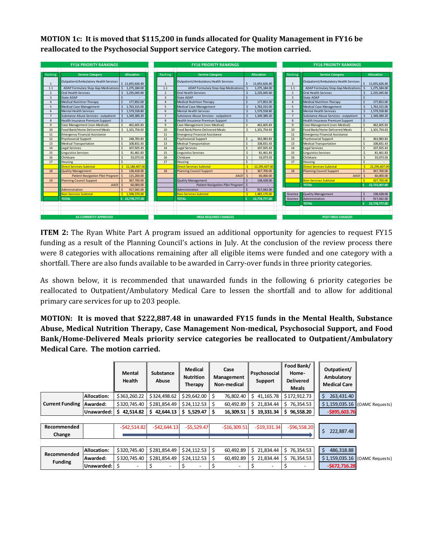**MOTION 1c: It is moved that \$115,200 in funds allocated for Quality Management in FY16 be reallocated to the Psychosocial Support service Category. The motion carried.**

|                | <b>FY16 PRIORITY RANKINGS</b>           |                       | <b>FY16 PRIORITY RANKINGS</b> |                                            |                         |                   | <b>FY16 PRIORITY RANKINGS</b> |                                            |         |                   |  |
|----------------|-----------------------------------------|-----------------------|-------------------------------|--------------------------------------------|-------------------------|-------------------|-------------------------------|--------------------------------------------|---------|-------------------|--|
|                |                                         |                       |                               |                                            |                         |                   |                               |                                            |         |                   |  |
| Ranking        | <b>Service Category</b>                 | <b>Allocation</b>     | Ranking                       | <b>Service Category</b>                    |                         | <b>Allocation</b> | Ranking                       | <b>Service Category</b>                    |         | <b>Allocation</b> |  |
| $\mathbf{1}$   | Outpatient/Ambulatory Health Services   | \$11,655,626.40       | $\mathbf{1}$                  | Outpatient/Ambulatory Health Services      |                         | 11,655,626.40     | $\overline{1}$                | Outpatient/Ambulatory Health Services      |         | 11,655,626.40     |  |
| 1.1            | ADAP Formulary Stop-Gap Medications     | 1,275,184.00<br>Ŝ.    | 1.1                           | <b>ADAP Formulary Stop-Gap Medications</b> |                         | 1,275,184.00      | 1.1                           | <b>ADAP Formulary Stop-Gap Medications</b> |         | 1,275,184.00      |  |
| $\overline{2}$ | <b>Oral Health Services</b>             | 2,235,045.60          | $\overline{2}$                | <b>Oral Health Services</b>                |                         | 2,235,045.60      | $\overline{2}$                | <b>Oral Health Services</b>                |         | 2,235,045.60      |  |
| $\overline{3}$ | <b>State ADAP</b>                       |                       | $\overline{3}$                | <b>State ADAP</b>                          |                         |                   | $\overline{3}$                | State ADAP                                 |         |                   |  |
| $\overline{a}$ | <b>Medical Nutrition Therapy</b>        | 177,852.00<br>Ś       | 4                             | <b>Medical Nutrition Therapy</b>           |                         | 177,852.00        | $\overline{A}$                | <b>Medical Nutrition Therapy</b>           |         | 177,852.00        |  |
| 5              | <b>Medical Case Management</b>          | 1,763,315.00<br>Ś.    | 5                             | Medical Case Management                    |                         | 1,763,315.00      | 5                             | <b>Medical Case Management</b>             |         | 1,763,315.00      |  |
| 6              | <b>Mental Health Services</b>           | \$1,579,558.80        | 6                             | <b>Mental Health Services</b>              |                         | 1,579,558.80      | 6                             | <b>Mental Health Services</b>              |         | 1,579,558.80      |  |
| $\overline{7}$ | Substance Abuse Services - outpatient   | Ŝ.<br>1,349,389.20    | $\overline{7}$                | Substance Abuse Services - outpatient      |                         | 1,349,389.20      | $\overline{7}$                | Substance Abuse Services - outpatient      |         | 1,349,389.20      |  |
| 8              | <b>Health Insurance Premium Support</b> |                       | $\mathbf{8}$                  | <b>Health Insurance Premium Support</b>    |                         |                   | $\mathbf{8}$                  | <b>Health Insurance Premium Support</b>    | Ś       |                   |  |
| $\mathbf{q}$   | Case Management (non-Medical)           | 462.605.83            | $\mathbf{q}$                  | Case Management (non-Medical)              |                         | 462,605.83        | $\mathbf{q}$                  | Case Management (non-Medical)              |         | 462,605.83        |  |
| 10             | Food Bank/Home Delivered Meals          | \$1,101,754.63        | 10                            | Food Bank/Home Delivered Meals             |                         | 1,101,754.63      | 10                            | Food Bank/Home Delivered Meals             | $\zeta$ | 1,101,754.63      |  |
| 11             | <b>Emergency Financial Assistance</b>   |                       | 11                            | <b>Emergency Financial Assistance</b>      |                         |                   | 11                            | <b>Emergency Financial Assistance</b>      |         |                   |  |
| 12             | Psychosocial Support                    | 248,783.83            | 12                            | Psychosocial Support                       | $\mathsf{s}$            | 363,983.83        | 12                            | Psychosocial Support                       |         | 363,983.83        |  |
| 13             | <b>Medical Transportation</b>           | 108.831.43            | 13                            | <b>Medical Transportation</b>              | $\hat{\mathbf{S}}$      | 108.831.43        | 13                            | <b>Medical Transportation</b>              | Š       | 108.831.43        |  |
| 14             | Legal Services                          | Ś<br>107,925.43       | 14                            | Legal Services                             | $\hat{\mathbf{S}}$      | 107.925.43        | 14                            | <b>Legal Services</b>                      | Š       | 107,925.43        |  |
| 15             | <b>Linguistics Services</b>             | Ś<br>81,461.83        | 15                            | <b>Linguistics Services</b>                | Ŝ.                      | 81.461.83         | 15                            | <b>Linguistics Services</b>                |         | 81.461.83         |  |
| 16             | Childcare                               | Ŝ.<br>33,073.03       | 16                            | Childcare                                  | Ŝ.                      | 33.073.03         | 16                            | Childcare                                  |         | 33,073.03         |  |
| 17             | Housing                                 |                       | 17                            | Housing                                    | $\zeta$                 |                   | 17                            | Housing                                    | ¢       |                   |  |
|                | Direct Services Subtotal                | \$22,180,407.00       |                               | <b>Direct Services Subtotal</b>            | $\overline{\mathbf{s}}$ | 22,295,607.00     |                               | <b>Direct Services Subtotal</b>            |         | 22,295,607.00     |  |
| 18             | <b>Quality Management</b>               | $\zeta$<br>138,428.00 | 18                            | <b>Planning Council Support</b>            |                         | 367,700.00        | 18                            | <b>Planning Council Support</b>            |         | 367,700.00        |  |
|                | <b>Patient Navigation Pilot Program</b> | 115,200.00            |                               | <b>AAOI</b>                                |                         | 60,000,00         |                               | <b>AAOI</b>                                |         | 60,000.00         |  |
| 19             | <b>Planning Council Support</b>         | 367,700.00            |                               | <b>Quality Management</b>                  | $\ddot{\mathbf{S}}$     | 138,428.00        |                               | <b>Non-Services Subtotal</b>               |         | 427,700.00        |  |
|                | <b>AAOI</b>                             | 60,000,00<br>-Ś       |                               | <b>Patient Navigation Pilot Program</b>    | $\zeta$                 |                   |                               | <b>TOTAL</b>                               |         | 22,723,307.00     |  |
|                | Administration                          | 917.042.00            |                               | Administration                             |                         | 917.042.00        |                               |                                            |         |                   |  |
|                | Non-Services Subtotal                   | $5$ 1.598.370.00      |                               | <b>Non-Services Subtotal</b>               |                         | 1.483.170.00      | Grantee                       | Quality Management                         |         | 138,428.00        |  |
|                | <b>TOTAL</b>                            | \$23,778,777.00       |                               | <b>TOTAL</b>                               |                         | 23.778.777.00     | Grantee                       | Administration                             |         | 917.042.00        |  |
|                |                                         |                       |                               |                                            |                         |                   |                               | <b>TOTAL</b>                               |         | 23.778.777.00     |  |
|                |                                         |                       |                               |                                            |                         |                   |                               |                                            |         |                   |  |
|                |                                         |                       |                               |                                            |                         |                   |                               |                                            |         |                   |  |
|                | <b>AS CURRENTLY APPROVED</b>            |                       |                               | <b>HRSA REQUIRED CHANGES</b>               |                         |                   |                               | <b>POST HRSA CHANGES</b>                   |         |                   |  |

**ITEM 2:** The Ryan White Part A program issued an additional opportunity for agencies to request FY15 funding as a result of the Planning Council's actions in July. At the conclusion of the review process there were 8 categories with allocations remaining after all eligible items were funded and one category with a shortfall. There are also funds available to be awarded in Carry-over funds in three priority categories.

As shown below, it is recommended that unawarded funds in the following 6 priority categories be reallocated to Outpatient/Ambulatory Medical Care to lessen the shortfall and to allow for additional primary care services for up to 203 people.

**MOTION: It is moved that \$222,887.48 in unawarded FY15 funds in the Mental Health, Substance Abuse, Medical Nutrition Therapy, Case Management Non-medical, Psychosocial Support, and Food Bank/Home-Delivered Meals priority service categories be reallocated to Outpatient/Ambulatory Medical Care. The motion carried.**

|                        |              | Mental<br><b>Health</b>  | <b>Substance</b><br>Abuse | Medical<br><b>Nutrition</b><br><b>Therapy</b> | Case<br>Management<br>Non-medical | Psychosocial<br>Support | Food Bank/<br>Home-<br><b>Delivered</b><br><b>Meals</b> | Outpatient/<br>Ambulatory<br><b>Medical Care</b> |                 |
|------------------------|--------------|--------------------------|---------------------------|-----------------------------------------------|-----------------------------------|-------------------------|---------------------------------------------------------|--------------------------------------------------|-----------------|
|                        | Allocation:  | \$363,260.22             | \$324,498.62              | \$29,642.00                                   | 76,802.40<br>Ŝ                    | 41,165.78<br>S.         | \$172,912.73                                            | Ś<br>263,431.40                                  |                 |
| <b>Current Funding</b> | Awarded:     | \$320,745.40             | \$281,854.49              | \$24,112.53                                   | 60,492.89                         | \$21,834.44             | \$76,354.53                                             | \$1,159,035.16                                   | (OAMC Requests) |
|                        | Unawarded:   | \$<br>42,514.82          | 42.644.13<br>\$.          | \$5,529.47                                    | 16,309.51                         | 19,331.34<br>\$         | 96,558.20<br>s                                          | $-$ \$895,603.76                                 |                 |
|                        |              |                          |                           |                                               |                                   |                         |                                                         |                                                  |                 |
| Recommended            |              | $-542,514.82$            | $-542,644.13$             | $-55,529.47$                                  | $-516,309.51$                     | $-$19,331.34$           | $-596,558.20$                                           | \$<br>222,887.48                                 |                 |
| Change                 |              |                          |                           |                                               |                                   |                         |                                                         |                                                  |                 |
|                        |              |                          |                           |                                               |                                   |                         |                                                         |                                                  |                 |
| Recommended            | Allocation:  | \$320,745.40             | \$281.854.49              | \$24,112.53                                   | 60.492.89                         | \$21,834.44             | \$76,354.53                                             | $\zeta$<br>486,318.88                            |                 |
| <b>Funding</b>         | Awarded:     | \$320,745.40             | \$281,854.49              | \$24,112.53                                   | 60,492.89                         | \$21,834.44             | \$76,354.53                                             | \$1,159,035.16                                   | (OAMC Requests) |
|                        | Unawarded: S | $\overline{\phantom{a}}$ |                           |                                               | $\overline{\phantom{0}}$          |                         | S                                                       | $-5672,716.28$                                   |                 |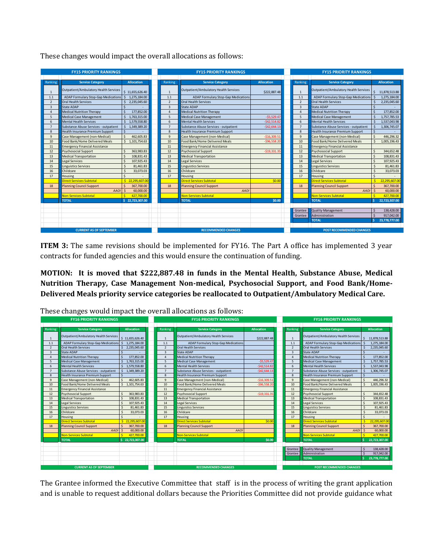|                 | <b>FY15 PRIORITY RANKINGS</b>           |                              |                | <b>FY15 PRIORITY RANKINGS</b>         |                   |                  | <b>FY15 PRIORITY RANKINGS</b>         |                          |  |
|-----------------|-----------------------------------------|------------------------------|----------------|---------------------------------------|-------------------|------------------|---------------------------------------|--------------------------|--|
|                 |                                         |                              |                |                                       |                   |                  |                                       |                          |  |
| Ranking         | <b>Service Category</b>                 | <b>Allocation</b>            | Ranking        | <b>Service Category</b>               | <b>Allocation</b> | Ranking          | <b>Service Category</b>               | <b>Allocation</b>        |  |
| $\mathbf{1}$    | Outpatient/Ambulatory Health Services   | \$11,655,626.40              | $\overline{1}$ | Outpatient/Ambulatory Health Services | \$222,887.48      | $\mathbf{1}$     | Outpatient/Ambulatory Health Services | 11,878,513.88            |  |
| 1.1             | ADAP Formulary Stop-Gap Medications     | \$ 1,275,184,00              | 1.1            | ADAP Formulary Stop-Gap Medications   |                   | 1.1              | ADAP Formulary Stop-Gap Medications   | 1.275.184.00<br><b>S</b> |  |
| $\overline{2}$  | Oral Health Services                    | 2,235,045.60                 | $\overline{2}$ | Oral Health Services                  |                   | $\overline{2}$   | Oral Health Services                  | 2,235,045.60             |  |
| $\overline{3}$  | State ADAP                              |                              | $\overline{3}$ | State ADAP                            |                   | $\overline{3}$   | State ADAP                            |                          |  |
| $\overline{4}$  | <b>Medical Nutrition Therapy</b>        | 177,852.00                   | $\overline{4}$ | <b>Medical Nutrition Therapy</b>      |                   | $\overline{a}$   | <b>Medical Nutrition Therapy</b>      | 177,852.00               |  |
| 5               | <b>Medical Case Management</b>          | 1,763,315.00                 | 5              | <b>Medical Case Management</b>        | $-55.529.4$       | 5                | <b>Medical Case Management</b>        | 1.757.785.53             |  |
| 6               | <b>Mental Health Services</b>           | \$1.579,558.80               | 6              | <b>Mental Health Services</b>         | $-542.514.8$      | 6                | <b>Mental Health Services</b>         | 1.537.043.98             |  |
| $7\overline{ }$ | Substance Abuse Services - outpatient   | $\mathsf{S}$<br>1,349,389.20 | $\overline{7}$ | Substance Abuse Services - outpatient | $-542.644.1$      | $\overline{7}$   | Substance Abuse Services - outpatient | 1.306.745.07             |  |
| 8               | <b>Health Insurance Premium Support</b> | Ŝ.                           | $\mathbf{8}$   | Health Insurance Premium Support      |                   | $\boldsymbol{8}$ | Health Insurance Premium Support      | Š.                       |  |
| 9               | Case Management (non-Medical)           | 462,605.83                   | $\mathbf{q}$   | Case Management (non-Medical)         | $-516,309.5$      | 9                | Case Management (non-Medical)         | 446.296.32               |  |
| 10              | Food Bank/Home Delivered Meals          | $\zeta$<br>1,101,754.63      | 10             | Food Bank/Home Delivered Meals        | $-596,558.2$      | 10               | Food Bank/Home Delivered Meals        | 1,005,196.43             |  |
| 11              | <b>Emergency Financial Assistance</b>   |                              | 11             | <b>Emergency Financial Assistance</b> |                   | 11               | <b>Emergency Financial Assistance</b> |                          |  |
| 12              | <b>Psychosocial Support</b>             | 363,983.83                   | 12             | <b>Psychosocial Support</b>           | $-519,331.3$      | 12               | <b>Psychosocial Support</b>           | 344,652.48               |  |
| 13              | <b>Medical Transportation</b>           | 108,831.43                   | 13             | <b>Medical Transportation</b>         |                   | 13               | <b>Medical Transportation</b>         | 108,831.43               |  |
| 14              | Legal Services                          | 107,925.43                   | 14             | Legal Services                        |                   | 14               | Legal Services                        | 107,925.43               |  |
| 15              | <b>Linguistics Services</b>             | 81,461.83                    | 15             | <b>Linguistics Services</b>           |                   | 15               | <b>Linguistics Services</b>           | 81,461.83                |  |
| 16              | Childcare                               | 33,073.03                    | 16             | Childcare                             |                   | 16               | Childcare                             | 33,073.03<br>Ŝ           |  |
| 17              | Housing                                 |                              | 17             | Housing                               |                   | 17               | Housing                               | $\zeta$                  |  |
|                 | <b>Direct Services Subtotal</b>         | 22,295,607.00                |                | <b>Direct Services Subtotal</b>       | \$0.00            |                  | Direct Services Subtotal              | Ŕ<br>22,295,607.00       |  |
| 18              | <b>Planning Council Support</b>         | 367,700.00                   | 18             | <b>Planning Council Support</b>       |                   | 18               | <b>Planning Council Support</b>       | 367,700.00               |  |
|                 | <b>AAOI</b>                             | 60,000.00                    |                | <b>AAO</b>                            |                   |                  | <b>AAOI</b>                           | Ś<br>60,000.00           |  |
|                 | Non-Services Subtotal                   | 427,700.00                   |                | <b>Non-Services Subtotal</b>          |                   |                  | Non-Services Subtotal                 | 427,700.00               |  |
|                 | <b>TOTAL</b>                            | \$22,723,307.00              |                | <b>TOTAL</b>                          | \$0.00            |                  | <b>TOTAL</b>                          | 22,723,307.00            |  |
|                 |                                         |                              |                |                                       |                   |                  |                                       |                          |  |
|                 |                                         |                              |                |                                       |                   | Grantee          | <b>Quality Management</b>             | 138,428,00               |  |
|                 |                                         |                              |                |                                       |                   | Grantee          | Administration                        | 917.042.00               |  |
|                 |                                         |                              |                |                                       |                   |                  | <b>TOTAL</b>                          | 23,778,777.00            |  |
|                 |                                         |                              |                |                                       |                   |                  |                                       |                          |  |
|                 | <b>CURRENT AS OF SEPTEMBER</b>          |                              |                | <b>RECOMMENDED CHANGES</b>            |                   |                  | <b>POST RECOMMENDED CHANGES</b>       |                          |  |

These changes would impact the overall allocations as follows:

**ITEM 3:** The same revisions should be implemented for FY16. The Part A office has implemented 3 year contracts for funded agencies and this would ensure the continuation of funding.

**MOTION: It is moved that \$222,887.48 in funds in the Mental Health, Substance Abuse, Medical Nutrition Therapy, Case Management Non-medical, Psychosocial Support, and Food Bank/Home-Delivered Meals priority service categories be reallocated to Outpatient/Ambulatory Medical Care.** 

|                | <b>FY16 PRIORITY RANKINGS</b>           |                                   |                | <b>FY16 PRIORITY RANKINGS</b>           | <b>FY16 PRIORITY RANKINGS</b> |                |                                         |                   |  |
|----------------|-----------------------------------------|-----------------------------------|----------------|-----------------------------------------|-------------------------------|----------------|-----------------------------------------|-------------------|--|
|                |                                         |                                   |                |                                         |                               |                |                                         |                   |  |
| Ranking        | <b>Service Category</b>                 | <b>Allocation</b>                 | Ranking        | <b>Service Category</b>                 | <b>Allocation</b>             | Ranking        | <b>Service Category</b>                 | <b>Allocation</b> |  |
| $\mathbf{1}$   | Outpatient/Ambulatory Health Services   | \$11,655,626.40                   | 1              | Outpatient/Ambulatory Health Services   | \$222,887.48                  | 1              | Outpatient/Ambulatory Health Services   | 11,878,513.88     |  |
| 1.1            | ADAP Formulary Stop-Gap Medications     | 1,275,184.00<br>S.                | 1.1            | ADAP Formulary Stop-Gap Medications     |                               | 1.1            | ADAP Formulary Stop-Gap Medications     | 1,275,184.00      |  |
| $\overline{2}$ | <b>Oral Health Services</b>             | 2,235,045.60                      | $\overline{2}$ | Oral Health Services                    |                               | $\overline{2}$ | Oral Health Services                    | 2,235,045.60      |  |
| $\overline{3}$ | <b>State ADAP</b>                       |                                   | $\overline{3}$ | State ADAP                              |                               | $\overline{3}$ | State ADAP                              |                   |  |
| $\overline{4}$ | <b>Medical Nutrition Therapy</b>        | 177,852.00                        | $\Delta$       | <b>Medical Nutrition Therapy</b>        |                               |                | <b>Medical Nutrition Therapy</b>        | 177,852.00        |  |
| 5              | <b>Medical Case Management</b>          | 1,763,315.00                      | 5              | <b>Medical Case Management</b>          | $-55.529.47$                  | 5              | <b>Medical Case Management</b>          | 1,757,785.53      |  |
| 6              | <b>Mental Health Services</b>           | \$1,579,558.80                    | 6              | <b>Mental Health Services</b>           | $-542.514.82$                 | 6              | Mental Health Services                  | 1,537,043.98      |  |
| $\overline{7}$ | Substance Abuse Services - outpatient   | $\sim$<br>1,349,389.20            | $\overline{7}$ | Substance Abuse Services - outpatient   | $-542,644.13$                 | $\overline{7}$ | Substance Abuse Services - outpatient   | 1,306,745.07      |  |
| 8              | <b>Health Insurance Premium Support</b> |                                   | $\mathbf{8}$   | <b>Health Insurance Premium Support</b> |                               | 8              | <b>Health Insurance Premium Support</b> |                   |  |
| $\overline{9}$ | Case Management (non-Medical)           | 462.605.83                        | $\mathbf{q}$   | Case Management (non-Medical)           | $-516,309.51$                 | $\mathbf{q}$   | Case Management (non-Medical)           | 446,296.32        |  |
| 10             | Food Bank/Home Delivered Meals          | \$1,101,754.63                    | 10             | Food Bank/Home Delivered Meals          | $-596.558.20$                 | 10             | Food Bank/Home Delivered Meals          | 1,005,196.43      |  |
| 11             | <b>Emergency Financial Assistance</b>   |                                   | 11             | <b>Emergency Financial Assistance</b>   |                               | 11             | <b>Emergency Financial Assistance</b>   |                   |  |
| 12             | Psychosocial Support                    | 363,983.83                        | 12             | Psychosocial Support                    | $-519,331.35$                 | 12             | Psychosocial Support                    | 344,652.48        |  |
| 13             | <b>Medical Transportation</b>           | 108.831.43                        | 13             | <b>Medical Transportation</b>           |                               | 13             | <b>Medical Transportation</b>           | 108.831.43        |  |
| 14             | <b>Legal Services</b>                   | 107,925.43                        | 14             | Legal Services                          |                               | 14             | Legal Services                          | 107,925.43        |  |
| 15             | <b>Linguistics Services</b>             | 81.461.83                         | 15             | <b>Linguistics Services</b>             |                               | 15             | <b>Linguistics Services</b>             | 81.461.83         |  |
| 16             | Childcare                               | 33,073.03                         | 16             | Childcare                               |                               | 16             | Childcare                               | 33,073.03         |  |
| 17             | Housing                                 |                                   | 17             | Housing                                 |                               | 17             | Housing                                 |                   |  |
|                | <b>Direct Services Subtotal</b>         | \$22,295,607.00                   |                | <b>Direct Services Subtotal</b>         | \$0.00                        |                | <b>Direct Services Subtotal</b>         | 22.295.607.00     |  |
| 18             | <b>Planning Council Support</b>         | $\ddot{\mathbf{S}}$<br>367,700.00 | 18             | <b>Planning Council Support</b>         |                               | 18             | <b>Planning Council Support</b>         | 367,700.00        |  |
|                | <b>AAOI</b>                             | 60,000.00                         |                | <b>AAO</b>                              |                               |                | <b>AAOI</b>                             | 60,000.00         |  |
|                | <b>Non-Services Subtotal</b>            | 427,700.00                        |                | <b>Non-Services Subtotal</b>            |                               |                | <b>Non-Services Subtotal</b>            | 427,700.00        |  |
|                | <b>TOTAL</b>                            | \$22,723,307.00                   |                | <b>TOTAL</b>                            | \$0.00                        |                | <b>TOTAL</b>                            | 22,723,307.00     |  |
|                |                                         |                                   |                |                                         |                               |                |                                         |                   |  |
|                |                                         |                                   |                |                                         |                               | Grantee        | Quality Management                      | 138,428.00        |  |
|                |                                         |                                   |                |                                         |                               | Grantee        | Administration                          | 917,042.00        |  |
|                |                                         |                                   |                |                                         |                               |                | <b>TOTAL</b>                            | 23.778.777.00     |  |
|                |                                         |                                   |                |                                         |                               |                |                                         |                   |  |
|                | <b>CURRENT AS OF SEPTEMBER</b>          |                                   |                | <b>RECOMMENDED CHANGES</b>              |                               |                | <b>POST RECOMMENDED CHANGES</b>         |                   |  |

These changes would impact the overall allocations as follows:

The Grantee informed the Executive Committee that staff is in the process of writing the grant application and is unable to request additional dollars because the Priorities Committee did not provide guidance what